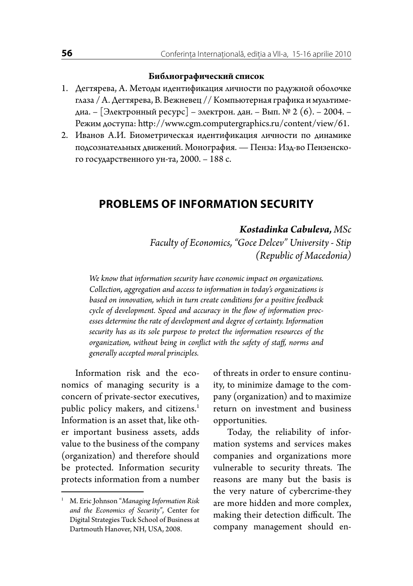## **Библиографический список**

- 1. Дегтярева, А. Методы идентификация личности по радужной оболочке глаза / А. Дегтярева, В. Вежневец // Компьютерная графика и мультимедиа. – [Электронный ресурс] – электрон. дан. – Вып. № 2 (6). – 2004. – Режим доступа: http://www.cgm.computergraphics.ru/content/view/61.
- 2. Иванов А.И. Биометрическая идентификация личности по динамике подсознательных движений. Монография. — Пенза: Изд-во Пензенского государственного ун-та, 2000. – 188 с.

## **PROBLEMS OF INFORMATION SECURITY**

## *Kostadinka Cabuleva, MSc*

*Faculty of Economics, "Goce Delcev" University - Stip (Republic of Macedonia)*

*We know that information security have economic impact on organizations. Collection, aggregation and access to information in today's organizations is based on innovation, which in turn create conditions for a positive feedback cycle of development. Speed and accuracy in the flow of information processes determine the rate of development and degree of certainty. Information security has as its sole purpose to protect the information resources of the organization, without being in conflict with the safety of staff, norms and generally accepted moral principles.*

Information risk and the economics of managing security is a concern of private-sector executives, public policy makers, and citizens.<sup>1</sup> Information is an asset that, like other important business assets, adds value to the business of the company (organization) and therefore should be protected. Information security protects information from a number of threats in order to ensure continuity, to minimize damage to the company (organization) and to maximize return on investment and business opportunities.

Today, the reliability of information systems and services makes companies and organizations more vulnerable to security threats. The reasons are many but the basis is the very nature of cybercrime-they are more hidden and more complex, making their detection difficult. The company management should en-

<sup>1</sup> M. Eric Johnson "*Managing Information Risk and the Economics of Security"*, Center for Digital Strategies Tuck School of Business at Dartmouth Hanover, NH, USA, 2008.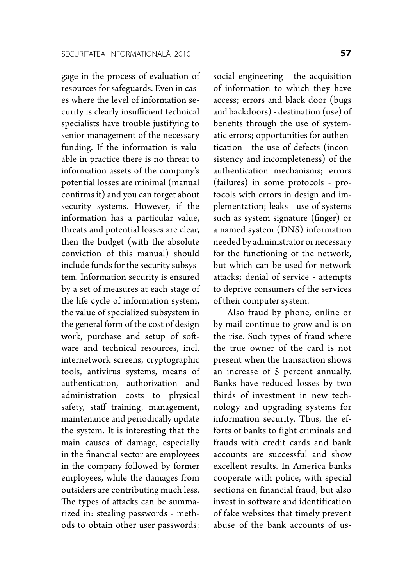gage in the process of evaluation of resources for safeguards. Even in cases where the level of information security is clearly insufficient technical specialists have trouble justifying to senior management of the necessary funding. If the information is valuable in practice there is no threat to information assets of the company's potential losses are minimal (manual confirms it) and you can forget about security systems. However, if the information has a particular value, threats and potential losses are clear, then the budget (with the absolute conviction of this manual) should include funds for the security subsystem. Information security is ensured by a set of measures at each stage of the life cycle of information system, the value of specialized subsystem in the general form of the cost of design work, purchase and setup of software and technical resources, incl. internetwork screens, cryptographic tools, antivirus systems, means of authentication, authorization and administration costs to physical safety, staff training, management, maintenance and periodically update the system. It is interesting that the main causes of damage, especially in the financial sector are employees in the company followed by former employees, while the damages from outsiders are contributing much less. The types of attacks can be summarized in: stealing passwords - methods to obtain other user passwords;

social engineering - the acquisition of information to which they have access; errors and black door (bugs and backdoors) - destination (use) of benefits through the use of systematic errors; opportunities for authentication - the use of defects (inconsistency and incompleteness) of the authentication mechanisms; errors (failures) in some protocols - protocols with errors in design and implementation; leaks - use of systems such as system signature (finger) or a named system (DNS) information needed by administrator or necessary for the functioning of the network, but which can be used for network attacks; denial of service - attempts to deprive consumers of the services of their computer system.

Also fraud by phone, online or by mail continue to grow and is on the rise. Such types of fraud where the true owner of the card is not present when the transaction shows an increase of 5 percent annually. Banks have reduced losses by two thirds of investment in new technology and upgrading systems for information security. Thus, the efforts of banks to fight criminals and frauds with credit cards and bank accounts are successful and show excellent results. In America banks cooperate with police, with special sections on financial fraud, but also invest in software and identification of fake websites that timely prevent abuse of the bank accounts of us-